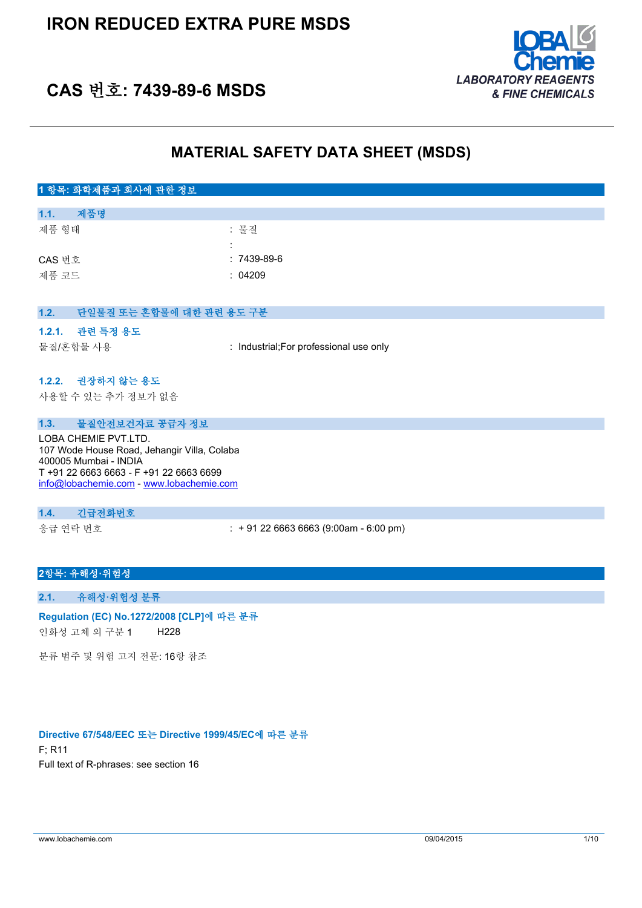

# **CAS 번호: 7439-89-6 MSDS**

# **MATERIAL SAFETY DATA SHEET (MSDS)**

| 1 항목: 화학제품과 회사에 관한 정보                                                                                                                                                               |                                         |
|-------------------------------------------------------------------------------------------------------------------------------------------------------------------------------------|-----------------------------------------|
| 제품명<br>1.1.                                                                                                                                                                         |                                         |
| 제품 형태                                                                                                                                                                               | : 물질                                    |
| CAS 번호                                                                                                                                                                              | $: 7439 - 89 - 6$                       |
| 제품 코드                                                                                                                                                                               | : 04209                                 |
|                                                                                                                                                                                     |                                         |
| 1.2.<br>단일물질 또는 혼합물에 대한 관련 용도 구분                                                                                                                                                    |                                         |
| 1.2.1. 관련 특정 용도<br>물질/혼합물 사용                                                                                                                                                        | : Industrial; For professional use only |
| 1.2.2. 권장하지 않는 용도                                                                                                                                                                   |                                         |
| 사용할 수 있는 추가 정보가 없음                                                                                                                                                                  |                                         |
| 물질안전보건자료 공급자 정보<br>1.3.                                                                                                                                                             |                                         |
| LOBA CHEMIE PVT.LTD.<br>107 Wode House Road, Jehangir Villa, Colaba<br>400005 Mumbai - INDIA<br>T +91 22 6663 6663 - F +91 22 6663 6699<br>info@lobachemie.com - www.lobachemie.com |                                         |
| 긴급전화번호<br>1.4.                                                                                                                                                                      |                                         |
| 응급 연락 번호                                                                                                                                                                            | $: +912266636663(9:00am - 6:00 pm)$     |
| 2항목: 유해성·위험성                                                                                                                                                                        |                                         |

# **2.1. 유해성·위험성 분류**

#### **Regulation (EC) No.1272/2008 [CLP]에 따른 분류**

인화성 고체 의 구분 1 H228

분류 범주 및 위험 고지 전문: 16항 참조

#### **Directive 67/548/EEC 또는 Directive 1999/45/EC에 따른 분류**

F; R11 Full text of R-phrases: see section 16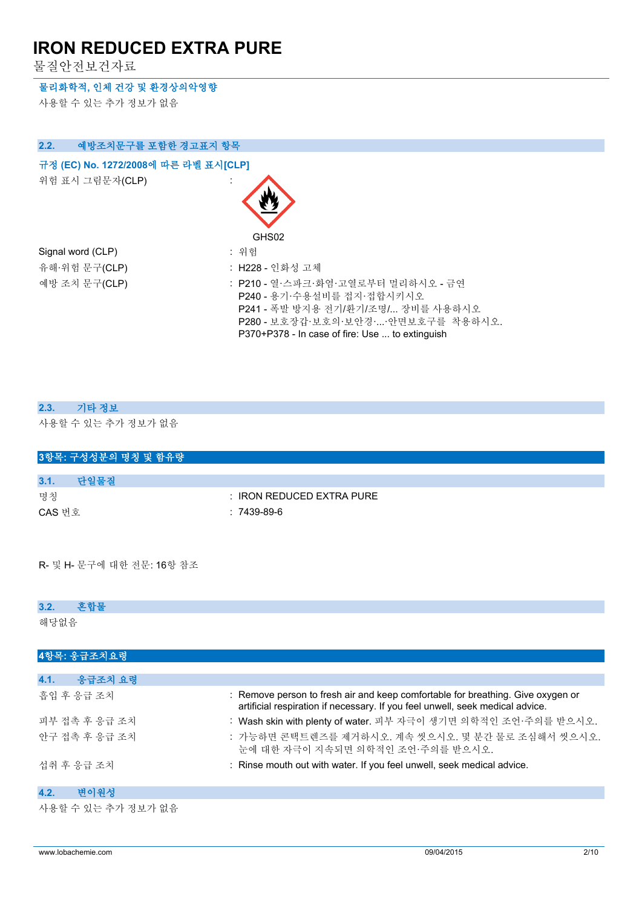물질안전보건자료

### **물리화학적, 인체 건강 및 환경상의악영향**

사용할 수 있는 추가 정보가 없음

| 예방조치문구를 포함한 경고표지 항목<br>2.2.                             |                                                                                                                                                                                               |
|---------------------------------------------------------|-----------------------------------------------------------------------------------------------------------------------------------------------------------------------------------------------|
| 규정 (EC) No. 1272/2008에 따른 라벨 표시[CLP]<br>위험 표시 그림문자(CLP) |                                                                                                                                                                                               |
|                                                         | GHS02                                                                                                                                                                                         |
| Signal word (CLP)                                       | : 위험                                                                                                                                                                                          |
| 유해·위험 문구(CLP)                                           | : H228 - 인화성 고체                                                                                                                                                                               |
| 예방 조치 문구(CLP)                                           | : P210 - 열·스파크·화염·고열로부터 멀리하시오 - 금연<br>P240 - 용기·수용설비를 접지·접합시키시오<br>P241 - 폭발 방지용 전기/환기/조명/ 장비를 사용하시오<br>P280 - 보호장갑·보호의·보안경··안면보호구를 착용하시오.<br>P370+P378 - In case of fire: Use  to extinguish |
|                                                         |                                                                                                                                                                                               |

| 2.3. | 기타 정보               |  |
|------|---------------------|--|
|      | 사용할 수 있는 추가 정보가 없음  |  |
|      |                     |  |
|      |                     |  |
|      | 3항목: 구성성분의 명칭 및 함유량 |  |
|      |                     |  |

| 3.1.   | 단일물질 |                               |
|--------|------|-------------------------------|
| 명칭     |      | $\pm$ IRON REDUCED EXTRA PURE |
| CAS 번호 |      | : 7439-89-6                   |

R- 및 H- 문구에 대한 전문: 16항 참조

### **3.2. 혼합물**

해당없음

| 4항목: 응급조치요령     |                                                                                                                                                                  |
|-----------------|------------------------------------------------------------------------------------------------------------------------------------------------------------------|
|                 |                                                                                                                                                                  |
| 4.1.<br>응급조치 요령 |                                                                                                                                                                  |
| 흠입 후 응급 조치      | : Remove person to fresh air and keep comfortable for breathing. Give oxygen or<br>artificial respiration if necessary. If you feel unwell, seek medical advice. |
| 피부 접촉 후 응급 조치   | : Wash skin with plenty of water. 피부 자극이 생기면 의학적인 조언·주의를 받으시오.                                                                                                   |
| 아구 접촉 후 응급 조치   | : 가능하면 콘택트렌즈를 제거하시오. 계속 씻으시오. 몇 분간 물로 조심해서 씻으시오.<br>눈에 대한 자극이 지속되면 의학적인 조언·주의를 받으시오.                                                                             |
| 섭취 후 응급 조치      | : Rinse mouth out with water. If you feel unwell, seek medical advice.                                                                                           |
|                 |                                                                                                                                                                  |

#### **4.2. 변이원성**

사용할 수 있는 추가 정보가 없음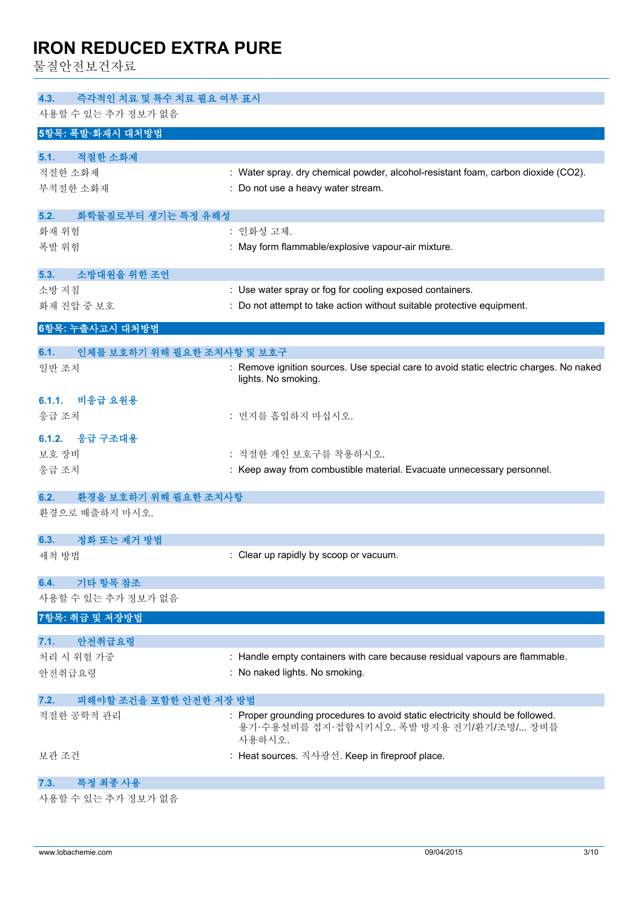물질안전보건자료

| 4.3.<br>즉각적인 치료 및 특수 치료 필요 여부 표시   |                                                                                                                                     |  |  |  |
|------------------------------------|-------------------------------------------------------------------------------------------------------------------------------------|--|--|--|
| 사용할 수 있는 추가 정보가 없음                 |                                                                                                                                     |  |  |  |
| 5항목: 폭발·화재시 대처방법                   |                                                                                                                                     |  |  |  |
| 적절한 소화제<br>5.1.                    |                                                                                                                                     |  |  |  |
| 적절한 소화제                            | : Water spray. dry chemical powder, alcohol-resistant foam, carbon dioxide (CO2).                                                   |  |  |  |
| 부적절한 소화재                           | Do not use a heavy water stream.                                                                                                    |  |  |  |
| 화학물질로부터 생기는 특정 유해성<br>5.2.         |                                                                                                                                     |  |  |  |
| 화재 위험                              | : 인화성 고체.                                                                                                                           |  |  |  |
| 폭발 위험                              | May form flammable/explosive vapour-air mixture.                                                                                    |  |  |  |
|                                    |                                                                                                                                     |  |  |  |
| 5.3.<br>소방대원을 위한 조언                |                                                                                                                                     |  |  |  |
| 소방 지침<br>화재 진압 중 보호                | : Use water spray or fog for cooling exposed containers.<br>Do not attempt to take action without suitable protective equipment.    |  |  |  |
|                                    |                                                                                                                                     |  |  |  |
| 6항목: 누출사고시 대처방법                    |                                                                                                                                     |  |  |  |
| 6.1.<br>인체를 보호하기 위해 필요한 조치사항 및 보호구 |                                                                                                                                     |  |  |  |
| 일반 조치                              | : Remove ignition sources. Use special care to avoid static electric charges. No naked<br>lights. No smoking.                       |  |  |  |
| 비응급 요원용<br>6.1.1.                  |                                                                                                                                     |  |  |  |
| 응급 조치                              | : 먼지를 흡입하지 마십시오.                                                                                                                    |  |  |  |
| 응급 구조대용<br>6.1.2.                  |                                                                                                                                     |  |  |  |
| 보호 장비                              | : 적절한 개인 보호구를 착용하시오.                                                                                                                |  |  |  |
| 응급 조치                              | : Keep away from combustible material. Evacuate unnecessary personnel.                                                              |  |  |  |
| 환경을 보호하기 위해 필요한 조치사항<br>6.2.       |                                                                                                                                     |  |  |  |
| 환경으로 배출하지 마시오.                     |                                                                                                                                     |  |  |  |
| 정화 또는 제거 방법<br>6.3.                |                                                                                                                                     |  |  |  |
| 세척 방법                              | : Clear up rapidly by scoop or vacuum.                                                                                              |  |  |  |
| 기타 항목 참조<br>6.4.                   |                                                                                                                                     |  |  |  |
| 사용할 수 있는 추가 정보가 없음                 |                                                                                                                                     |  |  |  |
| 7항목: 취급 및 저장방법                     |                                                                                                                                     |  |  |  |
| 안전취급요령<br>7.1.                     |                                                                                                                                     |  |  |  |
| 처리 시 위험 가중                         | : Handle empty containers with care because residual vapours are flammable.                                                         |  |  |  |
| 안전취급요령                             | : No naked lights. No smoking.                                                                                                      |  |  |  |
| 7.2.                               | 피해야할 조건을 포함한 안전한 저장 방법                                                                                                              |  |  |  |
| 적절한 공학적 관리                         | : Proper grounding procedures to avoid static electricity should be followed.<br>용기·수용설비를 접지·접합시키시오. 폭발 방지용 전기/환기/조명/ 장비를<br>사용하시오. |  |  |  |
| 보관 조건                              | : Heat sources. 직사광선. Keep in fireproof place.                                                                                      |  |  |  |
| 특정 최종 사용<br>7.3.                   |                                                                                                                                     |  |  |  |
| 사용할 수 있는 추가 정보가 없음                 |                                                                                                                                     |  |  |  |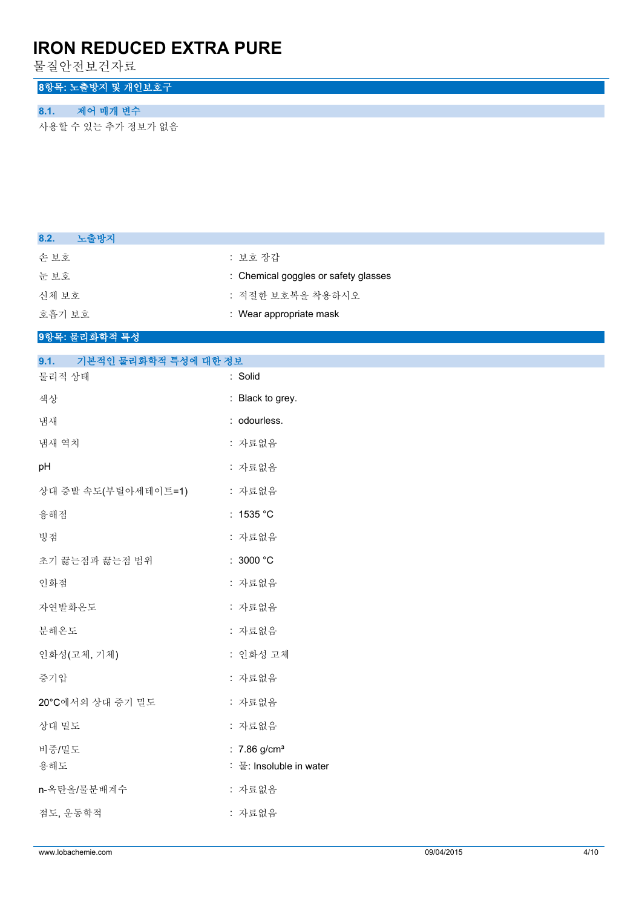물질안전보건자료

# **8항목: 노출방지 및 개인보호구**

# **8.1. 제어 매개 변수**

사용할 수 있는 추가 정보가 없음

| 노출방지<br>8.2.                 |                                      |
|------------------------------|--------------------------------------|
| 손보호                          | : 보호 장갑                              |
| 눈보호                          | : Chemical goggles or safety glasses |
| 신체 보호                        | : 적절한 보호복을 착용하시오                     |
| 호흡기 보호                       | : Wear appropriate mask              |
| 9항목: 물리화학적 특성                |                                      |
| 기본적인 물리화학적 특성에 대한 정보<br>9.1. |                                      |
| 물리적 상태                       | : Solid                              |
| 색상                           | : Black to grey.                     |
| 냄새                           | : odourless.                         |
| 냄새 역치                        | : 자료없음                               |
| pH                           | : 자료없음                               |
| 상대 증발 속도(부틸아세테이트=1)          | : 자료없음                               |
| 융해점                          | : 1535 °C                            |
| 빙점                           | : 자료없음                               |
| 초기 끓는점과 끓는점 범위               | : 3000 $^{\circ}$ C                  |
| 인화점                          | : 자료없음                               |
| 자연발화온도                       | : 자료없음                               |
| 분해온도                         | : 자료없음                               |
| 인화성(고체, 기체)                  | : 인화성 고체                             |
| 증기압                          | : 자료없음                               |
| 20°C에서의 상대 증기 밀도             | : 자료없음                               |
| 상대 밀도                        | : 자료없음                               |
| 비중/밀도                        | : $7.86$ g/cm <sup>3</sup>           |
| 용해도                          | : 물: Insoluble in water              |
| n-옥탄올/물분배계수                  | : 자료없음                               |
| 점도, 운동학적                     | : 자료없음                               |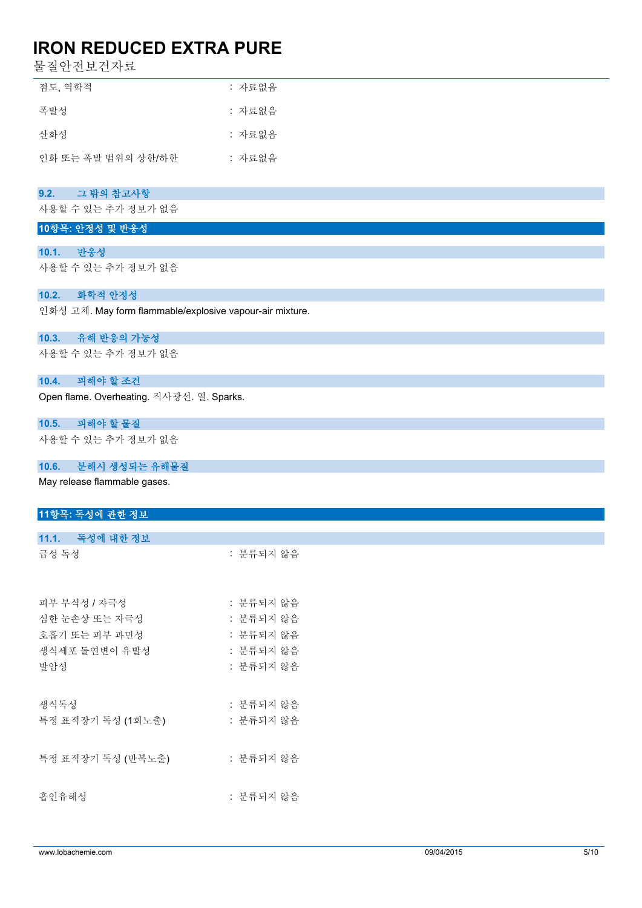물질안전보건자료

| 점도, 역학적            | : 자료없음 |
|--------------------|--------|
| 폭발성                | : 자료없음 |
| 산화성                | : 자료없음 |
| 인화 또는 폭발 범위의 상한/하한 | : 자료없음 |
|                    |        |

#### **9.2. 그 밖의 참고사항**

사용할 수 있는 추가 정보가 없음

### **10항목: 안정성 및 반응성**

#### **10.1. 반응성**

사용할 수 있는 추가 정보가 없음

#### **10.2. 화학적 안정성**

인화성 고체. May form flammable/explosive vapour-air mixture.

### **10.3. 유해 반응의 가능성**

사용할 수 있는 추가 정보가 없음

#### **10.4. 피해야 할 조건**

Open flame. Overheating. 직사광선. 열. Sparks.

#### **10.5. 피해야 할 물질**

사용할 수 있는 추가 정보가 없음

### **10.6. 분해시 생성되는 유해물질**

May release flammable gases.

| 11항목: 독성에 관한 정보             |           |
|-----------------------------|-----------|
|                             |           |
| 11.1. 독성에 대한 정보             |           |
| 급성 독성                       | : 분류되지 않음 |
|                             |           |
| 피부 부식성 / 자극성                | : 분류되지 않음 |
|                             |           |
| 심한 눈손상 또는 자극성               | : 분류되지 않음 |
| 호흡기 또는 피부 과민성               | : 분류되지 않음 |
| 생식세포 돌연변이 유발성               | : 분류되지 않음 |
| 발암성                         | : 분류되지 않음 |
|                             |           |
| 생식독성                        | : 분류되지 않음 |
| 특정 표적장기 독성 (1회노출)           | : 분류되지 않음 |
|                             |           |
| 특정 표적장기 독성 (반복노출) : 분류되지 않음 |           |
|                             |           |
| 흡인유해성                       | : 분류되지 않음 |
|                             |           |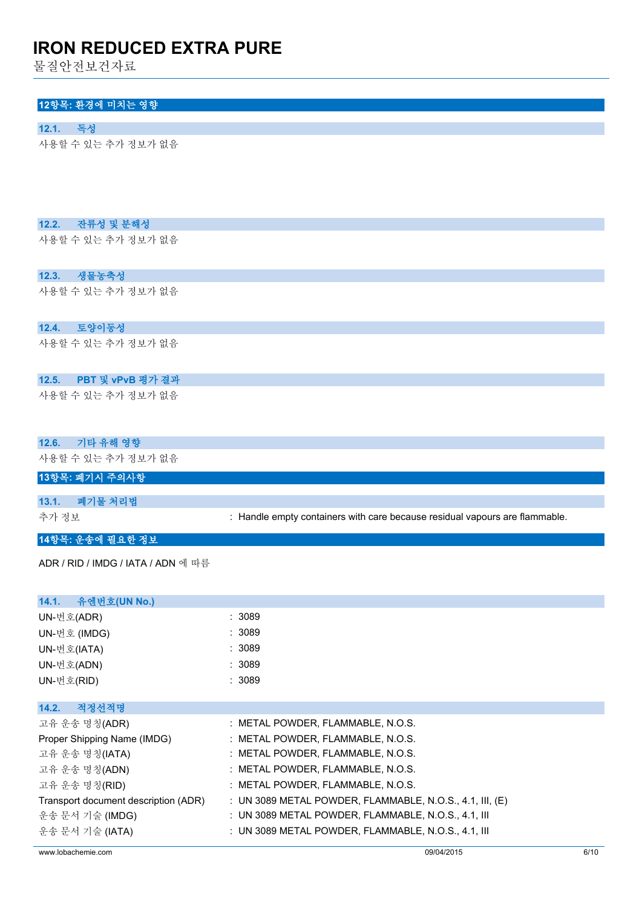물질안전보건자료

# **12항목: 환경에 미치는 영향**

### **12.1. 독성**

사용할 수 있는 추가 정보가 없음

#### **12.2. 잔류성 및 분해성**

사용할 수 있는 추가 정보가 없음

#### **12.3. 생물농축성**

사용할 수 있는 추가 정보가 없음

#### **12.4. 토양이동성**

사용할 수 있는 추가 정보가 없음

#### **12.5. PBT 및 vPvB 평가 결과**

사용할 수 있는 추가 정보가 없음

#### **12.6. 기타 유해 영향**

사용할 수 있는 추가 정보가 없음

### **13항목: 폐기시 주의사항**

**13.1. 폐기물 처리법**

추가 정보 **: Handle empty containers with care because residual vapours are flammable.** 

### **14항목: 운송에 필요한 정보**

ADR / RID / IMDG / IATA / ADN 에 따름

| : 3089                                                     |
|------------------------------------------------------------|
| : 3089                                                     |
| : 3089                                                     |
| : 3089                                                     |
| : 3089                                                     |
|                                                            |
|                                                            |
| : METAL POWDER, FLAMMABLE, N.O.S.                          |
| : METAL POWDER, FLAMMABLE, N.O.S.                          |
| : METAL POWDER, FLAMMABLE, N.O.S.                          |
| : METAL POWDER, FLAMMABLE, N.O.S.                          |
| : METAL POWDER, FLAMMABLE, N.O.S.                          |
| : UN 3089 METAL POWDER, FLAMMABLE, N.O.S., 4.1, III, $(E)$ |
| $:$ UN 3089 METAL POWDER, FLAMMABLE, N.O.S., 4.1, III      |
| : UN 3089 METAL POWDER, FLAMMABLE, N.O.S., 4.1, III        |
|                                                            |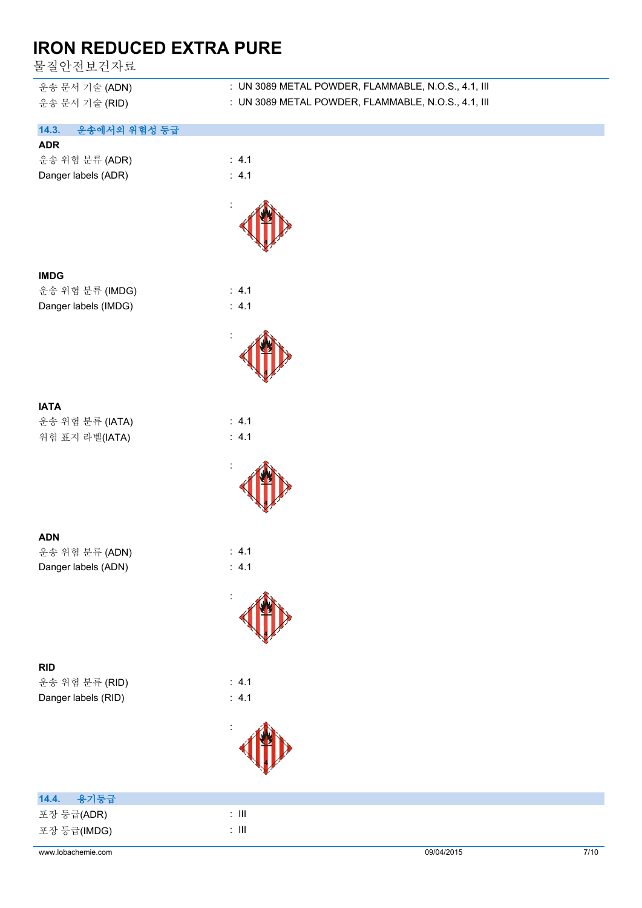물질안전보건자료

| 운송 문서 기술 (ADN) | $\pm$ UN 3089 METAL POWDER, FLAMMABLE, N.O.S., 4.1, III |
|----------------|---------------------------------------------------------|
| 운송 문서 기술 (RID) | $\pm$ UN 3089 METAL POWDER, FLAMMABLE, N.O.S., 4.1, III |

### **14.3. 운송에서의 위험성 등급**

| <b>ADR</b>          |                  |
|---------------------|------------------|
| 운송 위험 분류 (ADR)      | $\therefore$ 4.1 |
| Danger labels (ADR) | $\therefore$ 4.1 |

**IMDG** 운송 위험 분류 (IMDG) : 4.1 Danger labels (IMDG) : 4.1

**IATA** 운송 위험 분류 (IATA) : 4.1 위험 표지 라벨(IATA) : 4.1

| <b>ADN</b>          |                  |
|---------------------|------------------|
| 운송 위험 분류 (ADN)      | $\therefore$ 4.1 |
| Danger labels (ADN) | $\therefore$ 4.1 |

| RID |  |  |
|-----|--|--|
|     |  |  |

운송 위험 분류 (RID) : 4.1 Danger labels (RID) : 4.1



 $: 4.1$ 

:



:







| 14.4. 용기등급  |       |
|-------------|-------|
| 포장 등급(ADR)  | : III |
| 포장 등급(IMDG) | : III |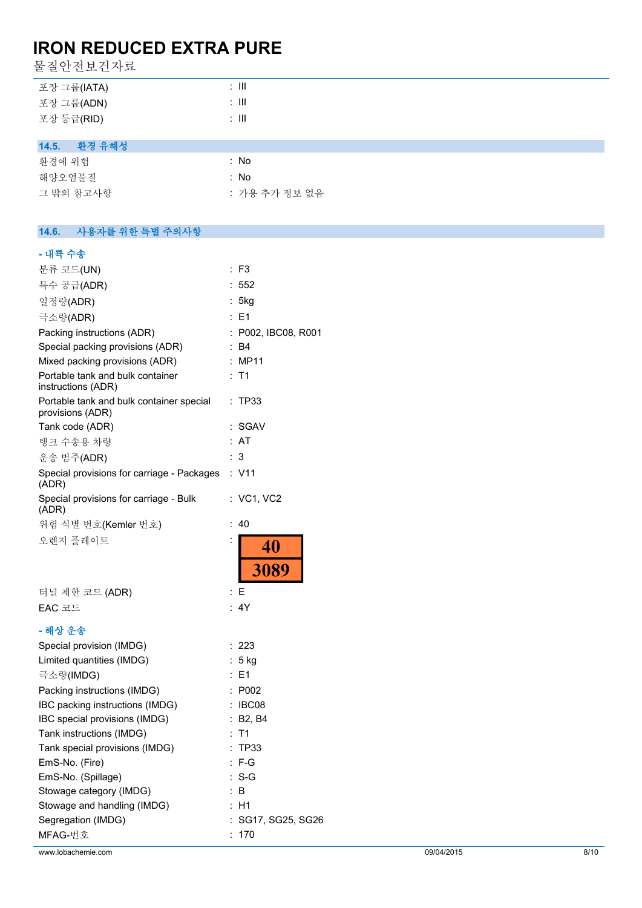물질안전보건자료

|       | 포장 그룹(IATA) | : III |  |
|-------|-------------|-------|--|
|       | 포장 그룹(ADN)  | : III |  |
|       | 포장 등급(RID)  | ÷ III |  |
|       |             |       |  |
| 14.5. | 환경 유해성      |       |  |

| 화경에 위험    | : No          |
|-----------|---------------|
| 해양오염물질    | ∴ No          |
| 그 밖의 참고사항 | : 가용 추가 정보 없음 |

#### $14.6.$ **14.6. 사용자를 위한 특별 주의사항**

#### **- 내륙 수송**

| 분류 코드(UN)                                                    | : F3                             |
|--------------------------------------------------------------|----------------------------------|
| 특수 공급(ADR)                                                   | 552                              |
| 일정량(ADR)                                                     | : 5kg                            |
| 극소량(ADR)                                                     | $E = 1$                          |
| Packing instructions (ADR)                                   | P002, IBC08, R001<br>t.          |
| Special packing provisions (ADR)                             | B4<br>t.                         |
| Mixed packing provisions (ADR)                               | <b>MP11</b>                      |
| Portable tank and bulk container<br>instructions (ADR)       | T <sub>1</sub><br>$\ddot{\cdot}$ |
| Portable tank and bulk container special<br>provisions (ADR) | : TP33                           |
| Tank code (ADR)                                              | SGAV<br>t.                       |
| 탱크 수송용 차량                                                    | AT<br>t.                         |
| 운송 범주(ADR)                                                   | ÷<br>3                           |
| Special provisions for carriage - Packages<br>(ADR)          | : V11                            |
| Special provisions for carriage - Bulk<br>(ADR)              | : VC1, VC2                       |
| 위험 식별 번호(Kemler 번호)                                          | 40<br>$\ddot{\phantom{a}}$       |
| 오렌지 플레이트                                                     | 40                               |
|                                                              | 3089                             |
| 터널 제한 코드 (ADR)                                               | : E                              |
| EAC 코드                                                       | :4Y                              |
|                                                              |                                  |
| - 해상 운송                                                      |                                  |
| Special provision (IMDG)                                     | : 223                            |
| Limited quantities (IMDG)                                    | : 5 kg                           |
| 극소량(IMDG)                                                    | : E1                             |
| Packing instructions (IMDG)                                  | : P002                           |
| IBC packing instructions (IMDG)                              | : IBC08                          |
| IBC special provisions (IMDG)                                | <b>B2, B4</b>                    |
| Tank instructions (IMDG)                                     | T <sub>1</sub>                   |
| Tank special provisions (IMDG)                               | <b>TP33</b>                      |
| EmS-No. (Fire)                                               | $F-G$                            |
| EmS-No. (Spillage)                                           | $S-G$                            |
| Stowage category (IMDG)                                      | B                                |

Stowage and handling (IMDG) : H1

MFAG-번호 : 170

Segregation (IMDG) : SG17, SG25, SG26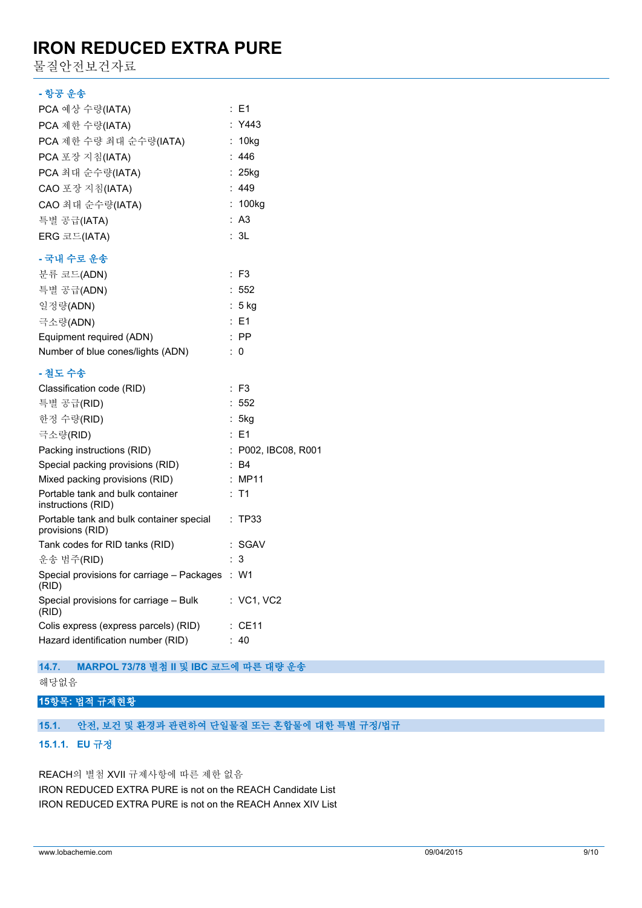물질안전보건자료

### **- 항공 운송**

| PCA 예상 수량(IATA)                                              | : E1                |
|--------------------------------------------------------------|---------------------|
| PCA 제한 수량(IATA)                                              | : Y443              |
| PCA 제한 수량 최대 순수량(IATA)                                       | : 10kg              |
| PCA 포장 지침(IATA)                                              | : 446               |
| PCA 최대 순수량(IATA)                                             | $: 25$ kg           |
| CAO 포장 지침(IATA)                                              | : 449               |
| CAO 최대 순수량(IATA)                                             | : 100kg             |
| 특별 공급(IATA)                                                  | : A3                |
| ERG 코드(IATA)                                                 | : 3L                |
| - 국내 수로 운송                                                   |                     |
| 분류 코드(ADN)                                                   | : F3                |
| 특별 공급(ADN)                                                   | : 552               |
| 일정량(ADN)                                                     | : 5 kg              |
| 극소량(ADN)                                                     | : E1                |
| Equipment required (ADN)                                     | $:$ PP              |
| Number of blue cones/lights (ADN)                            | : 0                 |
| - 철도 수송                                                      |                     |
| Classification code (RID)                                    | : F3                |
| 특별 공급(RID)                                                   | : 552               |
| 한정 수량(RID)                                                   | : 5kg               |
| 극소량(RID)                                                     | : E1                |
| Packing instructions (RID)                                   | : P002, IBC08, R001 |
| Special packing provisions (RID)                             | : B4                |
| Mixed packing provisions (RID)                               | : MP11              |
| Portable tank and bulk container<br>instructions (RID)       | $:$ T1              |
| Portable tank and bulk container special<br>provisions (RID) | : TP33              |
| Tank codes for RID tanks (RID)                               | : SGAV              |
| 운송 범주(RID)                                                   | 3                   |
| Special provisions for carriage - Packages : W1<br>(RID)     |                     |
| Special provisions for carriage - Bulk<br>(RID)              | : VC1, VC2          |
| Colis express (express parcels) (RID)                        | : CE11              |
| Hazard identification number (RID)                           | : 40                |

### **14.7. MARPOL 73/78 별첨 II 및 IBC 코드에 따른 대량 운송**

해당없음

# **15항목: 법적 규제현황**

# **15.1. 안전, 보건 및 환경과 관련하여 단일물질 또는 혼합물에 대한 특별 규정/법규**

# **15.1.1. EU 규정**

REACH의 별첨 XVII 규제사항에 따른 제한 없음 IRON REDUCED EXTRA PURE is not on the REACH Candidate List IRON REDUCED EXTRA PURE is not on the REACH Annex XIV List